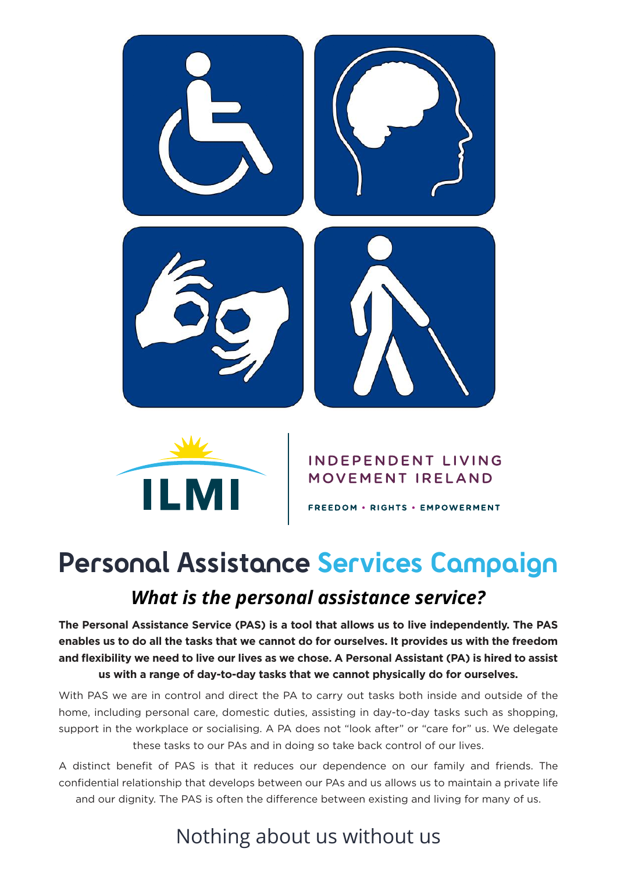



#### **INDEPENDENT LIVING** MOVEMENT IRELAND

FREEDOM . RIGHTS . EMPOWERMENT

# *What is the personal assistance service?* **Personal Assistance Services Campaign**

**The Personal Assistance Service (PAS) is a tool that allows us to live independently. The PAS enables us to do all the tasks that we cannot do for ourselves. It provides us with the freedom and flexibility we need to live our lives as we chose. A Personal Assistant (PA) is hired to assist us with a range of day-to-day tasks that we cannot physically do for ourselves.** 

With PAS we are in control and direct the PA to carry out tasks both inside and outside of the home, including personal care, domestic duties, assisting in day-to-day tasks such as shopping, support in the workplace or socialising. A PA does not "look after" or "care for" us. We delegate these tasks to our PAs and in doing so take back control of our lives.

A distinct benefit of PAS is that it reduces our dependence on our family and friends. The confidential relationship that develops between our PAs and us allows us to maintain a private life and our dignity. The PAS is often the difference between existing and living for many of us.

## Nothing about us without us